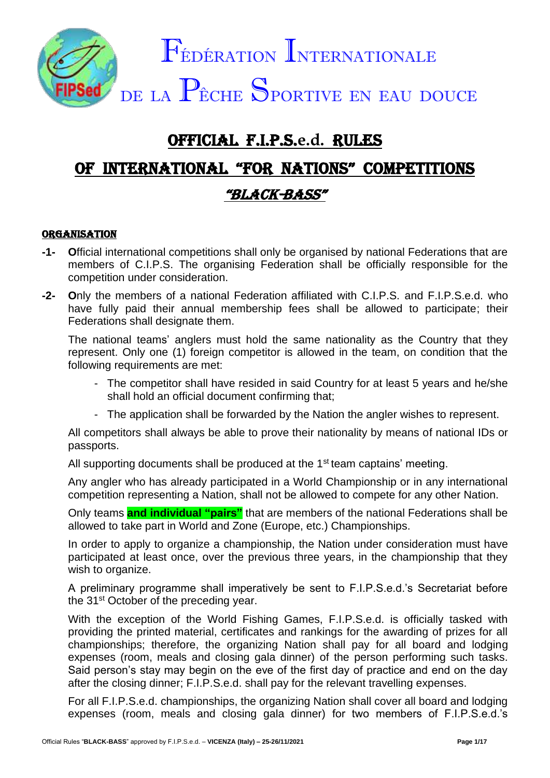

# OFFICIAL F.I.P.S.**e.d.** RULES

# OF INTERNATIONAL "FOR NATIONS" COMPETITIONS "BLACK-BASS"

#### **ORGANISATION**

- **-1- O**fficial international competitions shall only be organised by national Federations that are members of C.I.P.S. The organising Federation shall be officially responsible for the competition under consideration.
- **-2- O**nly the members of a national Federation affiliated with C.I.P.S. and F.I.P.S.e.d. who have fully paid their annual membership fees shall be allowed to participate; their Federations shall designate them.

The national teams' anglers must hold the same nationality as the Country that they represent. Only one (1) foreign competitor is allowed in the team, on condition that the following requirements are met:

- The competitor shall have resided in said Country for at least 5 years and he/she shall hold an official document confirming that;
- The application shall be forwarded by the Nation the angler wishes to represent.

All competitors shall always be able to prove their nationality by means of national IDs or passports.

All supporting documents shall be produced at the 1<sup>st</sup> team captains' meeting.

Any angler who has already participated in a World Championship or in any international competition representing a Nation, shall not be allowed to compete for any other Nation.

Only teams **and individual "pairs"** that are members of the national Federations shall be allowed to take part in World and Zone (Europe, etc.) Championships.

In order to apply to organize a championship, the Nation under consideration must have participated at least once, over the previous three years, in the championship that they wish to organize.

A preliminary programme shall imperatively be sent to F.I.P.S.e.d.'s Secretariat before the 31<sup>st</sup> October of the preceding year.

With the exception of the World Fishing Games, F.I.P.S.e.d. is officially tasked with providing the printed material, certificates and rankings for the awarding of prizes for all championships; therefore, the organizing Nation shall pay for all board and lodging expenses (room, meals and closing gala dinner) of the person performing such tasks. Said person's stay may begin on the eve of the first day of practice and end on the day after the closing dinner; F.I.P.S.e.d. shall pay for the relevant travelling expenses.

For all F.I.P.S.e.d. championships, the organizing Nation shall cover all board and lodging expenses (room, meals and closing gala dinner) for two members of F.I.P.S.e.d.'s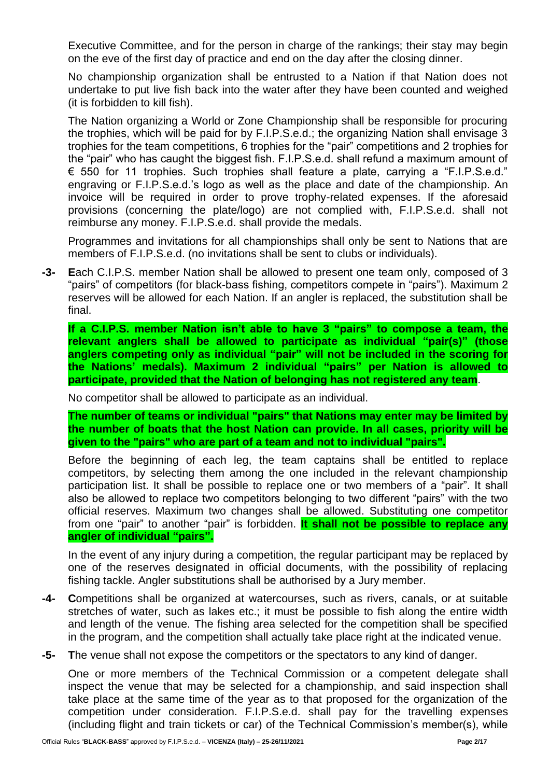Executive Committee, and for the person in charge of the rankings; their stay may begin on the eve of the first day of practice and end on the day after the closing dinner.

No championship organization shall be entrusted to a Nation if that Nation does not undertake to put live fish back into the water after they have been counted and weighed (it is forbidden to kill fish).

The Nation organizing a World or Zone Championship shall be responsible for procuring the trophies, which will be paid for by F.I.P.S.e.d.; the organizing Nation shall envisage 3 trophies for the team competitions, 6 trophies for the "pair" competitions and 2 trophies for the "pair" who has caught the biggest fish. F.I.P.S.e.d. shall refund a maximum amount of € 550 for 11 trophies. Such trophies shall feature a plate, carrying a "F.I.P.S.e.d." engraving or F.I.P.S.e.d.'s logo as well as the place and date of the championship. An invoice will be required in order to prove trophy-related expenses. If the aforesaid provisions (concerning the plate/logo) are not complied with, F.I.P.S.e.d. shall not reimburse any money. F.I.P.S.e.d. shall provide the medals.

Programmes and invitations for all championships shall only be sent to Nations that are members of F.I.P.S.e.d. (no invitations shall be sent to clubs or individuals).

**-3- E**ach C.I.P.S. member Nation shall be allowed to present one team only, composed of 3 "pairs" of competitors (for black-bass fishing, competitors compete in "pairs"). Maximum 2 reserves will be allowed for each Nation. If an angler is replaced, the substitution shall be final.

**If a C.I.P.S. member Nation isn't able to have 3 "pairs" to compose a team, the relevant anglers shall be allowed to participate as individual "pair(s)" (those anglers competing only as individual "pair" will not be included in the scoring for the Nations' medals). Maximum 2 individual "pairs" per Nation is allowed to participate, provided that the Nation of belonging has not registered any team**.

No competitor shall be allowed to participate as an individual.

**The number of teams or individual "pairs" that Nations may enter may be limited by the number of boats that the host Nation can provide. In all cases, priority will be given to the "pairs" who are part of a team and not to individual "pairs".**

Before the beginning of each leg, the team captains shall be entitled to replace competitors, by selecting them among the one included in the relevant championship participation list. It shall be possible to replace one or two members of a "pair". It shall also be allowed to replace two competitors belonging to two different "pairs" with the two official reserves. Maximum two changes shall be allowed. Substituting one competitor from one "pair" to another "pair" is forbidden. **It shall not be possible to replace any angler of individual "pairs".**

In the event of any injury during a competition, the regular participant may be replaced by one of the reserves designated in official documents, with the possibility of replacing fishing tackle. Angler substitutions shall be authorised by a Jury member.

- **-4- C**ompetitions shall be organized at watercourses, such as rivers, canals, or at suitable stretches of water, such as lakes etc.; it must be possible to fish along the entire width and length of the venue. The fishing area selected for the competition shall be specified in the program, and the competition shall actually take place right at the indicated venue.
- **-5- T**he venue shall not expose the competitors or the spectators to any kind of danger.

One or more members of the Technical Commission or a competent delegate shall inspect the venue that may be selected for a championship, and said inspection shall take place at the same time of the year as to that proposed for the organization of the competition under consideration. F.I.P.S.e.d. shall pay for the travelling expenses (including flight and train tickets or car) of the Technical Commission's member(s), while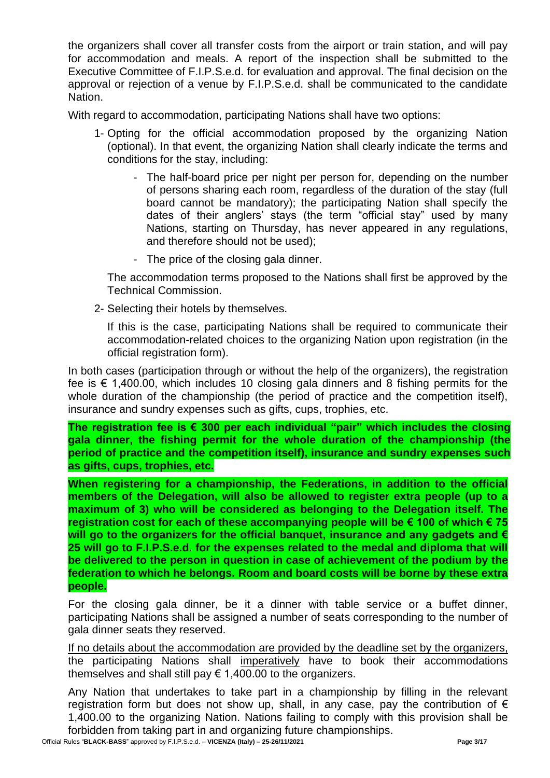the organizers shall cover all transfer costs from the airport or train station, and will pay for accommodation and meals. A report of the inspection shall be submitted to the Executive Committee of F.I.P.S.e.d. for evaluation and approval. The final decision on the approval or rejection of a venue by F.I.P.S.e.d. shall be communicated to the candidate Nation.

With regard to accommodation, participating Nations shall have two options:

- 1- Opting for the official accommodation proposed by the organizing Nation (optional). In that event, the organizing Nation shall clearly indicate the terms and conditions for the stay, including:
	- The half-board price per night per person for, depending on the number of persons sharing each room, regardless of the duration of the stay (full board cannot be mandatory); the participating Nation shall specify the dates of their anglers' stays (the term "official stay" used by many Nations, starting on Thursday, has never appeared in any regulations, and therefore should not be used);
	- The price of the closing gala dinner.

The accommodation terms proposed to the Nations shall first be approved by the Technical Commission.

2- Selecting their hotels by themselves.

If this is the case, participating Nations shall be required to communicate their accommodation-related choices to the organizing Nation upon registration (in the official registration form).

In both cases (participation through or without the help of the organizers), the registration fee is  $\epsilon$  1,400.00, which includes 10 closing gala dinners and 8 fishing permits for the whole duration of the championship (the period of practice and the competition itself), insurance and sundry expenses such as gifts, cups, trophies, etc.

**The registration fee is € 300 per each individual "pair" which includes the closing gala dinner, the fishing permit for the whole duration of the championship (the period of practice and the competition itself), insurance and sundry expenses such as gifts, cups, trophies, etc.**

**When registering for a championship, the Federations, in addition to the official members of the Delegation, will also be allowed to register extra people (up to a maximum of 3) who will be considered as belonging to the Delegation itself. The registration cost for each of these accompanying people will be € 100 of which € 75 will go to the organizers for the official banquet, insurance and any gadgets and € 25 will go to F.I.P.S.e.d. for the expenses related to the medal and diploma that will be delivered to the person in question in case of achievement of the podium by the federation to which he belongs. Room and board costs will be borne by these extra people.**

For the closing gala dinner, be it a dinner with table service or a buffet dinner, participating Nations shall be assigned a number of seats corresponding to the number of gala dinner seats they reserved.

If no details about the accommodation are provided by the deadline set by the organizers, the participating Nations shall imperatively have to book their accommodations themselves and shall still pay  $\epsilon$  1,400.00 to the organizers.

Any Nation that undertakes to take part in a championship by filling in the relevant registration form but does not show up, shall, in any case, pay the contribution of  $\epsilon$ 1,400.00 to the organizing Nation. Nations failing to comply with this provision shall be forbidden from taking part in and organizing future championships.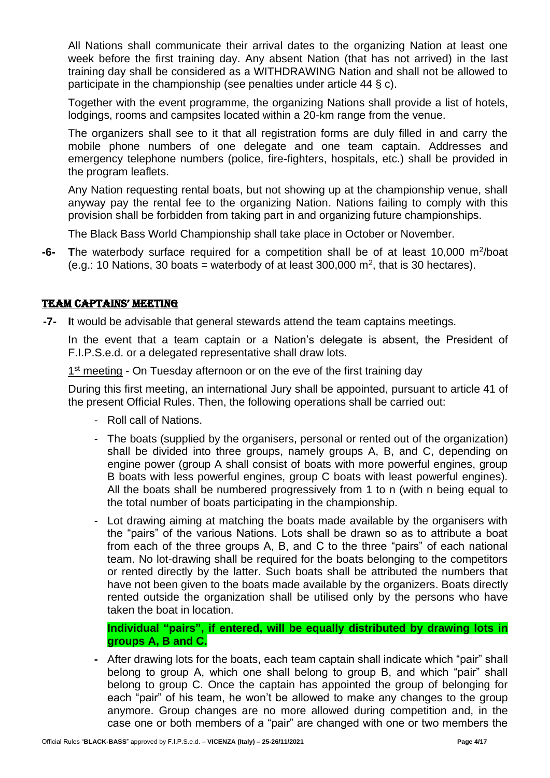All Nations shall communicate their arrival dates to the organizing Nation at least one week before the first training day. Any absent Nation (that has not arrived) in the last training day shall be considered as a WITHDRAWING Nation and shall not be allowed to participate in the championship (see penalties under article 44 § c).

Together with the event programme, the organizing Nations shall provide a list of hotels, lodgings, rooms and campsites located within a 20-km range from the venue.

The organizers shall see to it that all registration forms are duly filled in and carry the mobile phone numbers of one delegate and one team captain. Addresses and emergency telephone numbers (police, fire-fighters, hospitals, etc.) shall be provided in the program leaflets.

Any Nation requesting rental boats, but not showing up at the championship venue, shall anyway pay the rental fee to the organizing Nation. Nations failing to comply with this provision shall be forbidden from taking part in and organizing future championships.

The Black Bass World Championship shall take place in October or November.

-6- The waterbody surface required for a competition shall be of at least 10,000 m<sup>2</sup>/boat (e.g.: 10 Nations, 30 boats = waterbody of at least 300,000  $\text{m}^2$ , that is 30 hectares).

# TEAM CAPTAINS' MEETING

**-7- I**t would be advisable that general stewards attend the team captains meetings.

In the event that a team captain or a Nation's delegate is absent, the President of F.I.P.S.e.d. or a delegated representative shall draw lots.

1<sup>st</sup> meeting - On Tuesday afternoon or on the eve of the first training day

During this first meeting, an international Jury shall be appointed, pursuant to article 41 of the present Official Rules. Then, the following operations shall be carried out:

- Roll call of Nations.
- The boats (supplied by the organisers, personal or rented out of the organization) shall be divided into three groups, namely groups A, B, and C, depending on engine power (group A shall consist of boats with more powerful engines, group B boats with less powerful engines, group C boats with least powerful engines). All the boats shall be numbered progressively from 1 to n (with n being equal to the total number of boats participating in the championship.
- Lot drawing aiming at matching the boats made available by the organisers with the "pairs" of the various Nations. Lots shall be drawn so as to attribute a boat from each of the three groups A, B, and C to the three "pairs" of each national team. No lot-drawing shall be required for the boats belonging to the competitors or rented directly by the latter. Such boats shall be attributed the numbers that have not been given to the boats made available by the organizers. Boats directly rented outside the organization shall be utilised only by the persons who have taken the boat in location.

**Individual "pairs", if entered, will be equally distributed by drawing lots in groups A, B and C.**

**-** After drawing lots for the boats, each team captain shall indicate which "pair" shall belong to group A, which one shall belong to group B, and which "pair" shall belong to group C. Once the captain has appointed the group of belonging for each "pair" of his team, he won't be allowed to make any changes to the group anymore. Group changes are no more allowed during competition and, in the case one or both members of a "pair" are changed with one or two members the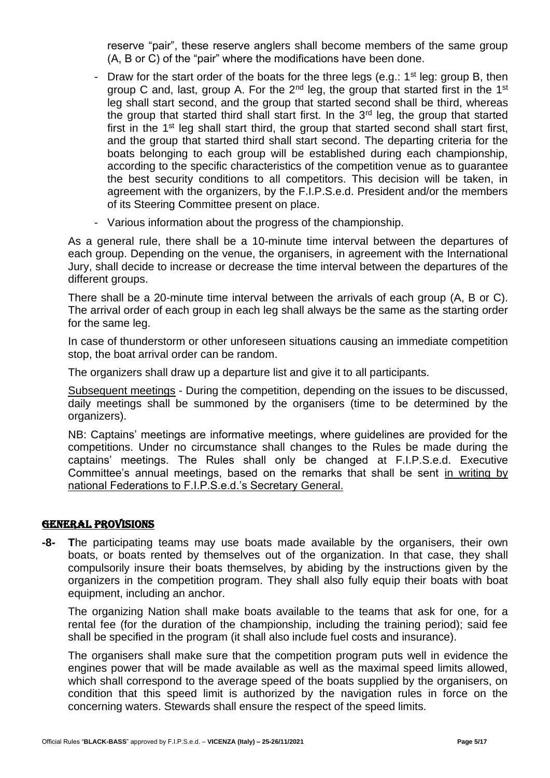reserve "pair", these reserve anglers shall become members of the same group (A, B or C) of the "pair" where the modifications have been done.

- Draw for the start order of the boats for the three legs (e.g.:  $1<sup>st</sup>$  leg: group B, then group C and, last, group A. For the  $2<sup>nd</sup>$  leg, the group that started first in the 1<sup>st</sup> leg shall start second, and the group that started second shall be third, whereas the group that started third shall start first. In the  $3<sup>rd</sup>$  leg, the group that started first in the 1<sup>st</sup> leg shall start third, the group that started second shall start first, and the group that started third shall start second. The departing criteria for the boats belonging to each group will be established during each championship, according to the specific characteristics of the competition venue as to guarantee the best security conditions to all competitors. This decision will be taken, in agreement with the organizers, by the F.I.P.S.e.d. President and/or the members of its Steering Committee present on place.
- Various information about the progress of the championship.

As a general rule, there shall be a 10-minute time interval between the departures of each group. Depending on the venue, the organisers, in agreement with the International Jury, shall decide to increase or decrease the time interval between the departures of the different groups.

There shall be a 20-minute time interval between the arrivals of each group (A, B or C). The arrival order of each group in each leg shall always be the same as the starting order for the same leg.

In case of thunderstorm or other unforeseen situations causing an immediate competition stop, the boat arrival order can be random.

The organizers shall draw up a departure list and give it to all participants.

Subsequent meetings - During the competition, depending on the issues to be discussed, daily meetings shall be summoned by the organisers (time to be determined by the organizers).

NB: Captains' meetings are informative meetings, where guidelines are provided for the competitions. Under no circumstance shall changes to the Rules be made during the captains' meetings. The Rules shall only be changed at F.I.P.S.e.d. Executive Committee's annual meetings, based on the remarks that shall be sent in writing by national Federations to F.I.P.S.e.d.'s Secretary General.

# GENERAL PROVISIONS

**-8- T**he participating teams may use boats made available by the organisers, their own boats, or boats rented by themselves out of the organization. In that case, they shall compulsorily insure their boats themselves, by abiding by the instructions given by the organizers in the competition program. They shall also fully equip their boats with boat equipment, including an anchor.

The organizing Nation shall make boats available to the teams that ask for one, for a rental fee (for the duration of the championship, including the training period); said fee shall be specified in the program (it shall also include fuel costs and insurance).

The organisers shall make sure that the competition program puts well in evidence the engines power that will be made available as well as the maximal speed limits allowed, which shall correspond to the average speed of the boats supplied by the organisers, on condition that this speed limit is authorized by the navigation rules in force on the concerning waters. Stewards shall ensure the respect of the speed limits.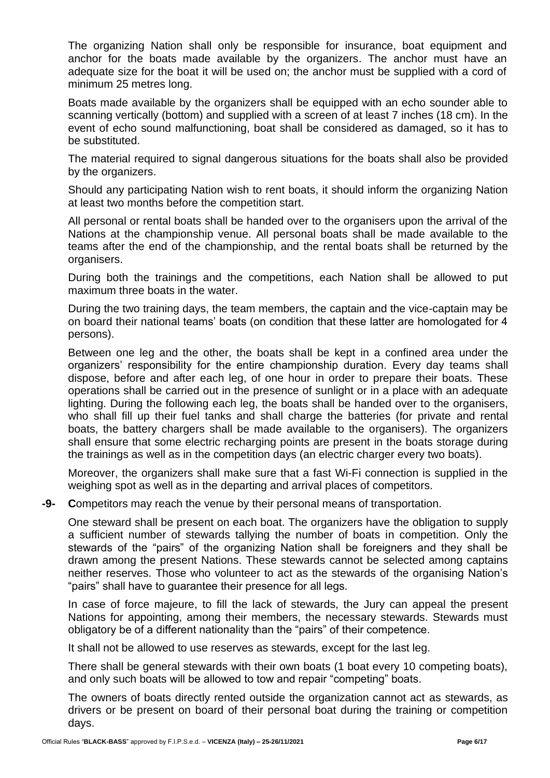The organizing Nation shall only be responsible for insurance, boat equipment and anchor for the boats made available by the organizers. The anchor must have an adequate size for the boat it will be used on; the anchor must be supplied with a cord of minimum 25 metres long.

Boats made available by the organizers shall be equipped with an echo sounder able to scanning vertically (bottom) and supplied with a screen of at least 7 inches (18 cm). In the event of echo sound malfunctioning, boat shall be considered as damaged, so it has to be substituted.

The material required to signal dangerous situations for the boats shall also be provided by the organizers.

Should any participating Nation wish to rent boats, it should inform the organizing Nation at least two months before the competition start.

All personal or rental boats shall be handed over to the organisers upon the arrival of the Nations at the championship venue. All personal boats shall be made available to the teams after the end of the championship, and the rental boats shall be returned by the organisers.

During both the trainings and the competitions, each Nation shall be allowed to put maximum three boats in the water.

During the two training days, the team members, the captain and the vice-captain may be on board their national teams' boats (on condition that these latter are homologated for 4 persons).

Between one leg and the other, the boats shall be kept in a confined area under the organizers' responsibility for the entire championship duration. Every day teams shall dispose, before and after each leg, of one hour in order to prepare their boats. These operations shall be carried out in the presence of sunlight or in a place with an adequate lighting. During the following each leg, the boats shall be handed over to the organisers, who shall fill up their fuel tanks and shall charge the batteries (for private and rental boats, the battery chargers shall be made available to the organisers). The organizers shall ensure that some electric recharging points are present in the boats storage during the trainings as well as in the competition days (an electric charger every two boats).

Moreover, the organizers shall make sure that a fast Wi-Fi connection is supplied in the weighing spot as well as in the departing and arrival places of competitors.

**-9- C**ompetitors may reach the venue by their personal means of transportation.

One steward shall be present on each boat. The organizers have the obligation to supply a sufficient number of stewards tallying the number of boats in competition. Only the stewards of the "pairs" of the organizing Nation shall be foreigners and they shall be drawn among the present Nations. These stewards cannot be selected among captains neither reserves. Those who volunteer to act as the stewards of the organising Nation's "pairs" shall have to guarantee their presence for all legs.

In case of force majeure, to fill the lack of stewards, the Jury can appeal the present Nations for appointing, among their members, the necessary stewards. Stewards must obligatory be of a different nationality than the "pairs" of their competence.

It shall not be allowed to use reserves as stewards, except for the last leg.

There shall be general stewards with their own boats (1 boat every 10 competing boats), and only such boats will be allowed to tow and repair "competing" boats.

The owners of boats directly rented outside the organization cannot act as stewards, as drivers or be present on board of their personal boat during the training or competition days.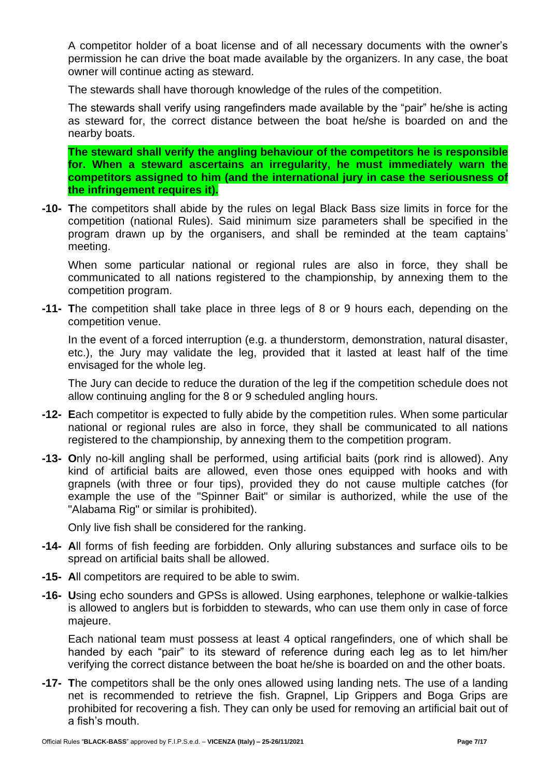A competitor holder of a boat license and of all necessary documents with the owner's permission he can drive the boat made available by the organizers. In any case, the boat owner will continue acting as steward.

The stewards shall have thorough knowledge of the rules of the competition.

The stewards shall verify using rangefinders made available by the "pair" he/she is acting as steward for, the correct distance between the boat he/she is boarded on and the nearby boats.

**The steward shall verify the angling behaviour of the competitors he is responsible for. When a steward ascertains an irregularity, he must immediately warn the competitors assigned to him (and the international jury in case the seriousness of the infringement requires it).**

**-10- T**he competitors shall abide by the rules on legal Black Bass size limits in force for the competition (national Rules). Said minimum size parameters shall be specified in the program drawn up by the organisers, and shall be reminded at the team captains' meeting.

When some particular national or regional rules are also in force, they shall be communicated to all nations registered to the championship, by annexing them to the competition program.

**-11- T**he competition shall take place in three legs of 8 or 9 hours each, depending on the competition venue.

In the event of a forced interruption (e.g. a thunderstorm, demonstration, natural disaster, etc.), the Jury may validate the leg, provided that it lasted at least half of the time envisaged for the whole leg.

The Jury can decide to reduce the duration of the leg if the competition schedule does not allow continuing angling for the 8 or 9 scheduled angling hours.

- **-12- E**ach competitor is expected to fully abide by the competition rules. When some particular national or regional rules are also in force, they shall be communicated to all nations registered to the championship, by annexing them to the competition program.
- **-13- O**nly no-kill angling shall be performed, using artificial baits (pork rind is allowed). Any kind of artificial baits are allowed, even those ones equipped with hooks and with grapnels (with three or four tips), provided they do not cause multiple catches (for example the use of the "Spinner Bait" or similar is authorized, while the use of the "Alabama Rig" or similar is prohibited).

Only live fish shall be considered for the ranking.

- **-14- A**ll forms of fish feeding are forbidden. Only alluring substances and surface oils to be spread on artificial baits shall be allowed.
- **-15- A**ll competitors are required to be able to swim.
- **-16- U**sing echo sounders and GPSs is allowed. Using earphones, telephone or walkie-talkies is allowed to anglers but is forbidden to stewards, who can use them only in case of force majeure.

Each national team must possess at least 4 optical rangefinders, one of which shall be handed by each "pair" to its steward of reference during each leg as to let him/her verifying the correct distance between the boat he/she is boarded on and the other boats.

**-17- T**he competitors shall be the only ones allowed using landing nets. The use of a landing net is recommended to retrieve the fish. Grapnel, Lip Grippers and Boga Grips are prohibited for recovering a fish. They can only be used for removing an artificial bait out of a fish's mouth.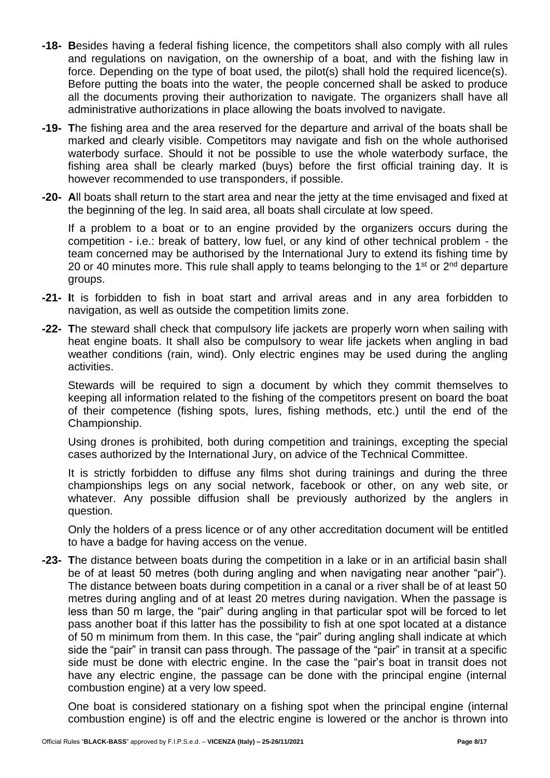- **-18- B**esides having a federal fishing licence, the competitors shall also comply with all rules and regulations on navigation, on the ownership of a boat, and with the fishing law in force. Depending on the type of boat used, the pilot(s) shall hold the required licence(s). Before putting the boats into the water, the people concerned shall be asked to produce all the documents proving their authorization to navigate. The organizers shall have all administrative authorizations in place allowing the boats involved to navigate.
- **-19- T**he fishing area and the area reserved for the departure and arrival of the boats shall be marked and clearly visible. Competitors may navigate and fish on the whole authorised waterbody surface. Should it not be possible to use the whole waterbody surface, the fishing area shall be clearly marked (buys) before the first official training day. It is however recommended to use transponders, if possible.
- **-20- A**ll boats shall return to the start area and near the jetty at the time envisaged and fixed at the beginning of the leg. In said area, all boats shall circulate at low speed.

If a problem to a boat or to an engine provided by the organizers occurs during the competition - i.e.: break of battery, low fuel, or any kind of other technical problem - the team concerned may be authorised by the International Jury to extend its fishing time by 20 or 40 minutes more. This rule shall apply to teams belonging to the 1<sup>st</sup> or  $2<sup>nd</sup>$  departure groups.

- **-21- I**t is forbidden to fish in boat start and arrival areas and in any area forbidden to navigation, as well as outside the competition limits zone.
- **-22- T**he steward shall check that compulsory life jackets are properly worn when sailing with heat engine boats. It shall also be compulsory to wear life jackets when angling in bad weather conditions (rain, wind). Only electric engines may be used during the angling activities.

Stewards will be required to sign a document by which they commit themselves to keeping all information related to the fishing of the competitors present on board the boat of their competence (fishing spots, lures, fishing methods, etc.) until the end of the Championship.

Using drones is prohibited, both during competition and trainings, excepting the special cases authorized by the International Jury, on advice of the Technical Committee.

It is strictly forbidden to diffuse any films shot during trainings and during the three championships legs on any social network, facebook or other, on any web site, or whatever. Any possible diffusion shall be previously authorized by the anglers in question.

Only the holders of a press licence or of any other accreditation document will be entitled to have a badge for having access on the venue.

**-23- T**he distance between boats during the competition in a lake or in an artificial basin shall be of at least 50 metres (both during angling and when navigating near another "pair"). The distance between boats during competition in a canal or a river shall be of at least 50 metres during angling and of at least 20 metres during navigation. When the passage is less than 50 m large, the "pair" during angling in that particular spot will be forced to let pass another boat if this latter has the possibility to fish at one spot located at a distance of 50 m minimum from them. In this case, the "pair" during angling shall indicate at which side the "pair" in transit can pass through. The passage of the "pair" in transit at a specific side must be done with electric engine. In the case the "pair's boat in transit does not have any electric engine, the passage can be done with the principal engine (internal combustion engine) at a very low speed.

One boat is considered stationary on a fishing spot when the principal engine (internal combustion engine) is off and the electric engine is lowered or the anchor is thrown into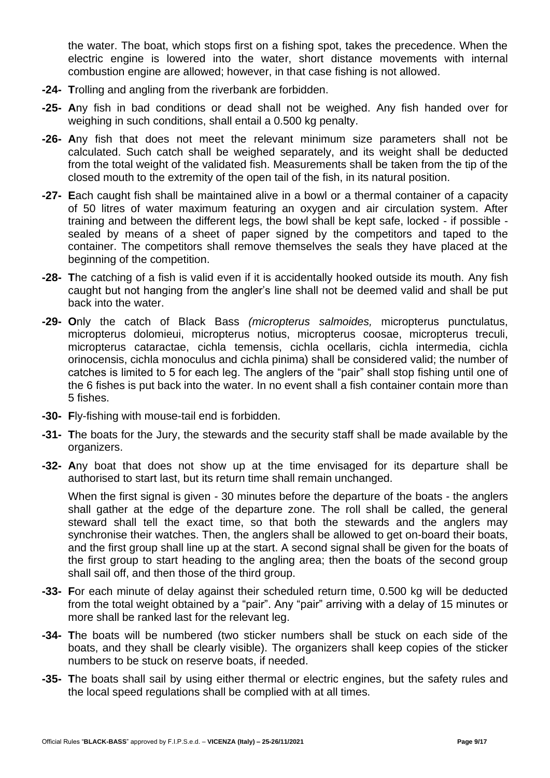the water. The boat, which stops first on a fishing spot, takes the precedence. When the electric engine is lowered into the water, short distance movements with internal combustion engine are allowed; however, in that case fishing is not allowed.

- **-24- T**rolling and angling from the riverbank are forbidden.
- **-25- A**ny fish in bad conditions or dead shall not be weighed. Any fish handed over for weighing in such conditions, shall entail a 0.500 kg penalty.
- **-26- A**ny fish that does not meet the relevant minimum size parameters shall not be calculated. Such catch shall be weighed separately, and its weight shall be deducted from the total weight of the validated fish. Measurements shall be taken from the tip of the closed mouth to the extremity of the open tail of the fish, in its natural position.
- **-27- E**ach caught fish shall be maintained alive in a bowl or a thermal container of a capacity of 50 litres of water maximum featuring an oxygen and air circulation system. After training and between the different legs, the bowl shall be kept safe, locked - if possible sealed by means of a sheet of paper signed by the competitors and taped to the container. The competitors shall remove themselves the seals they have placed at the beginning of the competition.
- **-28- T**he catching of a fish is valid even if it is accidentally hooked outside its mouth. Any fish caught but not hanging from the angler's line shall not be deemed valid and shall be put back into the water.
- **-29- O**nly the catch of Black Bass *(micropterus salmoides,* micropterus punctulatus, micropterus dolomieui, micropterus notius, micropterus coosae, micropterus treculi, micropterus cataractae, cichla temensis, cichla ocellaris, cichla intermedia, cichla orinocensis, cichla monoculus and cichla pinima) shall be considered valid; the number of catches is limited to 5 for each leg. The anglers of the "pair" shall stop fishing until one of the 6 fishes is put back into the water. In no event shall a fish container contain more than 5 fishes.
- **-30- F**ly-fishing with mouse-tail end is forbidden.
- **-31- T**he boats for the Jury, the stewards and the security staff shall be made available by the organizers.
- **-32- A**ny boat that does not show up at the time envisaged for its departure shall be authorised to start last, but its return time shall remain unchanged.

When the first signal is given - 30 minutes before the departure of the boats - the anglers shall gather at the edge of the departure zone. The roll shall be called, the general steward shall tell the exact time, so that both the stewards and the anglers may synchronise their watches. Then, the anglers shall be allowed to get on-board their boats, and the first group shall line up at the start. A second signal shall be given for the boats of the first group to start heading to the angling area; then the boats of the second group shall sail off, and then those of the third group.

- **-33- F**or each minute of delay against their scheduled return time, 0.500 kg will be deducted from the total weight obtained by a "pair". Any "pair" arriving with a delay of 15 minutes or more shall be ranked last for the relevant leg.
- **-34- T**he boats will be numbered (two sticker numbers shall be stuck on each side of the boats, and they shall be clearly visible). The organizers shall keep copies of the sticker numbers to be stuck on reserve boats, if needed.
- **-35- T**he boats shall sail by using either thermal or electric engines, but the safety rules and the local speed regulations shall be complied with at all times.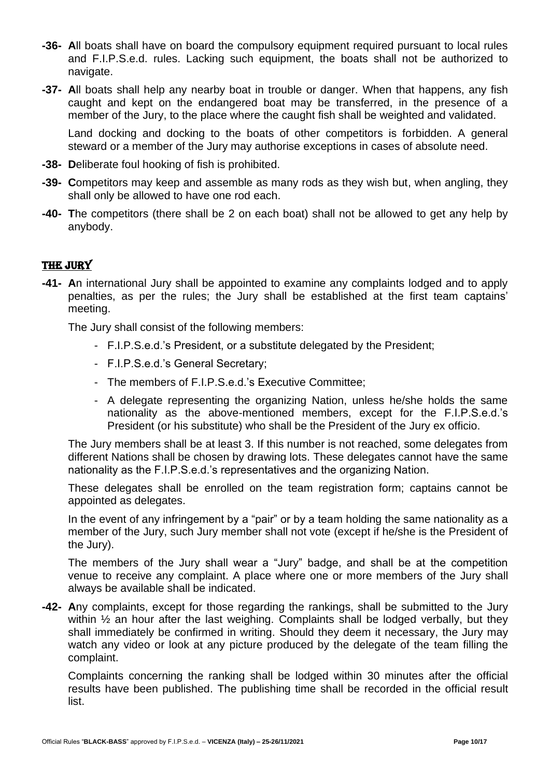- **-36- A**ll boats shall have on board the compulsory equipment required pursuant to local rules and F.I.P.S.e.d. rules. Lacking such equipment, the boats shall not be authorized to navigate.
- **-37- A**ll boats shall help any nearby boat in trouble or danger. When that happens, any fish caught and kept on the endangered boat may be transferred, in the presence of a member of the Jury, to the place where the caught fish shall be weighted and validated.

Land docking and docking to the boats of other competitors is forbidden. A general steward or a member of the Jury may authorise exceptions in cases of absolute need.

- **-38- D**eliberate foul hooking of fish is prohibited.
- **-39- C**ompetitors may keep and assemble as many rods as they wish but, when angling, they shall only be allowed to have one rod each.
- **-40- T**he competitors (there shall be 2 on each boat) shall not be allowed to get any help by anybody.

# THE JURY

**-41- A**n international Jury shall be appointed to examine any complaints lodged and to apply penalties, as per the rules; the Jury shall be established at the first team captains' meeting.

The Jury shall consist of the following members:

- F.I.P.S.e.d.'s President, or a substitute delegated by the President;
- F.I.P.S.e.d.'s General Secretary;
- The members of F.I.P.S.e.d.'s Executive Committee;
- A delegate representing the organizing Nation, unless he/she holds the same nationality as the above-mentioned members, except for the F.I.P.S.e.d.'s President (or his substitute) who shall be the President of the Jury ex officio.

The Jury members shall be at least 3. If this number is not reached, some delegates from different Nations shall be chosen by drawing lots. These delegates cannot have the same nationality as the F.I.P.S.e.d.'s representatives and the organizing Nation.

These delegates shall be enrolled on the team registration form; captains cannot be appointed as delegates.

In the event of any infringement by a "pair" or by a team holding the same nationality as a member of the Jury, such Jury member shall not vote (except if he/she is the President of the Jury).

The members of the Jury shall wear a "Jury" badge, and shall be at the competition venue to receive any complaint. A place where one or more members of the Jury shall always be available shall be indicated.

**-42- A**ny complaints, except for those regarding the rankings, shall be submitted to the Jury within  $\frac{1}{2}$  an hour after the last weighing. Complaints shall be lodged verbally, but they shall immediately be confirmed in writing. Should they deem it necessary, the Jury may watch any video or look at any picture produced by the delegate of the team filling the complaint.

Complaints concerning the ranking shall be lodged within 30 minutes after the official results have been published. The publishing time shall be recorded in the official result list.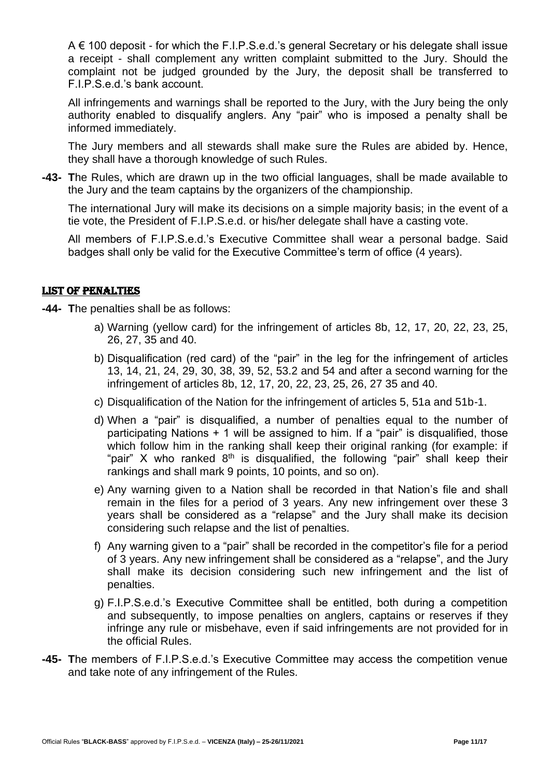A € 100 deposit - for which the F.I.P.S.e.d.'s general Secretary or his delegate shall issue a receipt - shall complement any written complaint submitted to the Jury. Should the complaint not be judged grounded by the Jury, the deposit shall be transferred to F.I.P.S.e.d.'s bank account.

All infringements and warnings shall be reported to the Jury, with the Jury being the only authority enabled to disqualify anglers. Any "pair" who is imposed a penalty shall be informed immediately.

The Jury members and all stewards shall make sure the Rules are abided by. Hence, they shall have a thorough knowledge of such Rules.

**-43- T**he Rules, which are drawn up in the two official languages, shall be made available to the Jury and the team captains by the organizers of the championship.

The international Jury will make its decisions on a simple majority basis; in the event of a tie vote, the President of F.I.P.S.e.d. or his/her delegate shall have a casting vote.

All members of F.I.P.S.e.d.'s Executive Committee shall wear a personal badge. Said badges shall only be valid for the Executive Committee's term of office (4 years).

#### LIST OF PENALTIES

**-44- T**he penalties shall be as follows:

- a) Warning (yellow card) for the infringement of articles 8b, 12, 17, 20, 22, 23, 25, 26, 27, 35 and 40.
- b) Disqualification (red card) of the "pair" in the leg for the infringement of articles 13, 14, 21, 24, 29, 30, 38, 39, 52, 53.2 and 54 and after a second warning for the infringement of articles 8b, 12, 17, 20, 22, 23, 25, 26, 27 35 and 40.
- c) Disqualification of the Nation for the infringement of articles 5, 51a and 51b-1.
- d) When a "pair" is disqualified, a number of penalties equal to the number of participating Nations + 1 will be assigned to him. If a "pair" is disqualified, those which follow him in the ranking shall keep their original ranking (for example: if "pair" X who ranked  $8<sup>th</sup>$  is disqualified, the following "pair" shall keep their rankings and shall mark 9 points, 10 points, and so on).
- e) Any warning given to a Nation shall be recorded in that Nation's file and shall remain in the files for a period of 3 years. Any new infringement over these 3 years shall be considered as a "relapse" and the Jury shall make its decision considering such relapse and the list of penalties.
- f) Any warning given to a "pair" shall be recorded in the competitor's file for a period of 3 years. Any new infringement shall be considered as a "relapse", and the Jury shall make its decision considering such new infringement and the list of penalties.
- g) F.I.P.S.e.d.'s Executive Committee shall be entitled, both during a competition and subsequently, to impose penalties on anglers, captains or reserves if they infringe any rule or misbehave, even if said infringements are not provided for in the official Rules.
- **-45- T**he members of F.I.P.S.e.d.'s Executive Committee may access the competition venue and take note of any infringement of the Rules.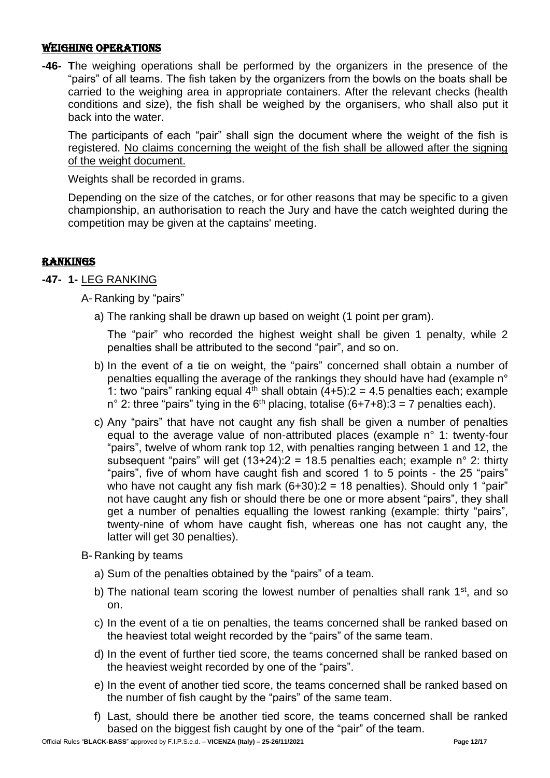#### WEIGHING OPERATIONS

**-46- T**he weighing operations shall be performed by the organizers in the presence of the "pairs" of all teams. The fish taken by the organizers from the bowls on the boats shall be carried to the weighing area in appropriate containers. After the relevant checks (health conditions and size), the fish shall be weighed by the organisers, who shall also put it back into the water.

The participants of each "pair" shall sign the document where the weight of the fish is registered. No claims concerning the weight of the fish shall be allowed after the signing of the weight document.

Weights shall be recorded in grams.

Depending on the size of the catches, or for other reasons that may be specific to a given championship, an authorisation to reach the Jury and have the catch weighted during the competition may be given at the captains' meeting.

# RANKINGS

# **-47- 1-** LEG RANKING

A- Ranking by "pairs"

a) The ranking shall be drawn up based on weight (1 point per gram).

The "pair" who recorded the highest weight shall be given 1 penalty, while 2 penalties shall be attributed to the second "pair", and so on.

- b) In the event of a tie on weight, the "pairs" concerned shall obtain a number of penalties equalling the average of the rankings they should have had (example n° 1: two "pairs" ranking equal  $4<sup>th</sup>$  shall obtain (4+5):2 = 4.5 penalties each; example n° 2: three "pairs" tying in the  $6<sup>th</sup>$  placing, totalise (6+7+8): 3 = 7 penalties each).
- c) Any "pairs" that have not caught any fish shall be given a number of penalties equal to the average value of non-attributed places (example n° 1: twenty-four "pairs", twelve of whom rank top 12, with penalties ranging between 1 and 12, the subsequent "pairs" will get  $(13+24):2 = 18.5$  penalties each: example n° 2: thirty "pairs", five of whom have caught fish and scored 1 to 5 points - the 25 "pairs" who have not caught any fish mark  $(6+30):2 = 18$  penalties). Should only 1 "pair" not have caught any fish or should there be one or more absent "pairs", they shall get a number of penalties equalling the lowest ranking (example: thirty "pairs", twenty-nine of whom have caught fish, whereas one has not caught any, the latter will get 30 penalties).
- B- Ranking by teams
	- a) Sum of the penalties obtained by the "pairs" of a team.
	- b) The national team scoring the lowest number of penalties shall rank  $1<sup>st</sup>$ , and so on.
	- c) In the event of a tie on penalties, the teams concerned shall be ranked based on the heaviest total weight recorded by the "pairs" of the same team.
	- d) In the event of further tied score, the teams concerned shall be ranked based on the heaviest weight recorded by one of the "pairs".
	- e) In the event of another tied score, the teams concerned shall be ranked based on the number of fish caught by the "pairs" of the same team.
	- f) Last, should there be another tied score, the teams concerned shall be ranked based on the biggest fish caught by one of the "pair" of the team.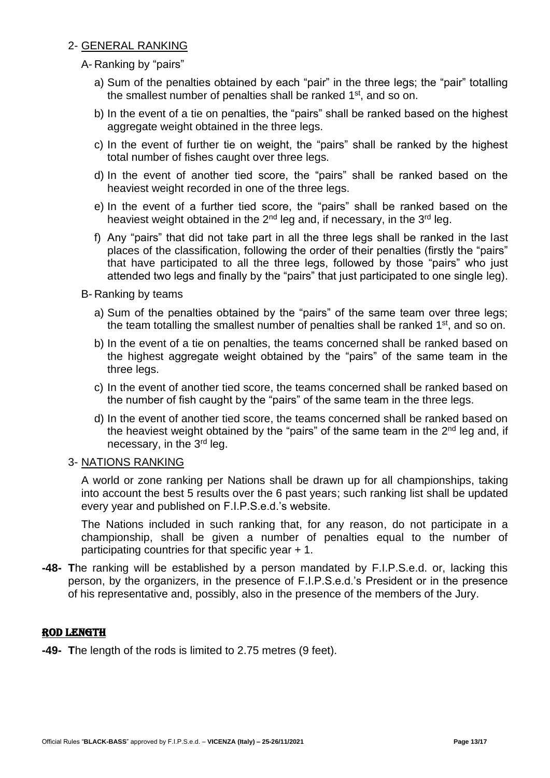### 2- GENERAL RANKING

A- Ranking by "pairs"

- a) Sum of the penalties obtained by each "pair" in the three legs; the "pair" totalling the smallest number of penalties shall be ranked 1<sup>st</sup>, and so on.
- b) In the event of a tie on penalties, the "pairs" shall be ranked based on the highest aggregate weight obtained in the three legs.
- c) In the event of further tie on weight, the "pairs" shall be ranked by the highest total number of fishes caught over three legs.
- d) In the event of another tied score, the "pairs" shall be ranked based on the heaviest weight recorded in one of the three legs.
- e) In the event of a further tied score, the "pairs" shall be ranked based on the heaviest weight obtained in the  $2<sup>nd</sup>$  leg and, if necessary, in the  $3<sup>rd</sup>$  leg.
- f) Any "pairs" that did not take part in all the three legs shall be ranked in the last places of the classification, following the order of their penalties (firstly the "pairs" that have participated to all the three legs, followed by those "pairs" who just attended two legs and finally by the "pairs" that just participated to one single leg).

B- Ranking by teams

- a) Sum of the penalties obtained by the "pairs" of the same team over three legs; the team totalling the smallest number of penalties shall be ranked 1<sup>st</sup>, and so on.
- b) In the event of a tie on penalties, the teams concerned shall be ranked based on the highest aggregate weight obtained by the "pairs" of the same team in the three leas.
- c) In the event of another tied score, the teams concerned shall be ranked based on the number of fish caught by the "pairs" of the same team in the three legs.
- d) In the event of another tied score, the teams concerned shall be ranked based on the heaviest weight obtained by the "pairs" of the same team in the  $2<sup>nd</sup>$  leg and, if necessary, in the 3<sup>rd</sup> leg.

#### 3- NATIONS RANKING

A world or zone ranking per Nations shall be drawn up for all championships, taking into account the best 5 results over the 6 past years; such ranking list shall be updated every year and published on F.I.P.S.e.d.'s website.

The Nations included in such ranking that, for any reason, do not participate in a championship, shall be given a number of penalties equal to the number of participating countries for that specific year + 1.

**-48- T**he ranking will be established by a person mandated by F.I.P.S.e.d. or, lacking this person, by the organizers, in the presence of F.I.P.S.e.d.'s President or in the presence of his representative and, possibly, also in the presence of the members of the Jury.

#### ROD LENGTH

**-49- T**he length of the rods is limited to 2.75 metres (9 feet).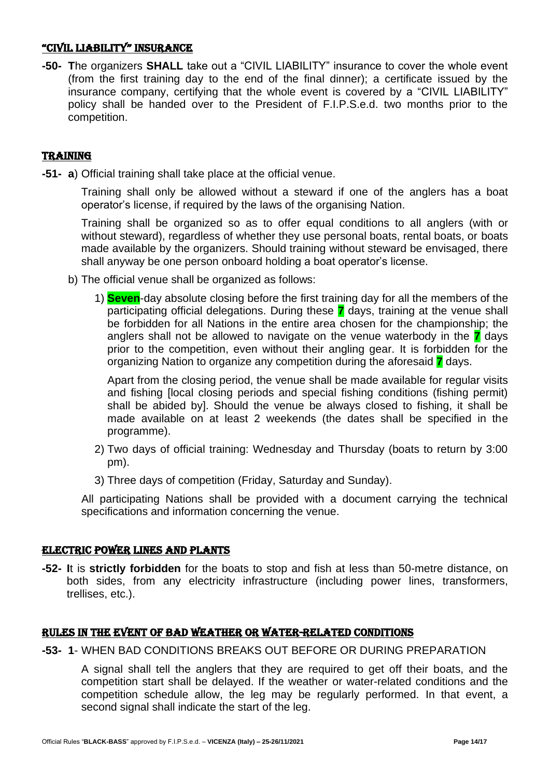#### "CIVIL LIABILITY" INSURANCE

**-50- T**he organizers **SHALL** take out a "CIVIL LIABILITY" insurance to cover the whole event (from the first training day to the end of the final dinner); a certificate issued by the insurance company, certifying that the whole event is covered by a "CIVIL LIABILITY" policy shall be handed over to the President of F.I.P.S.e.d. two months prior to the competition.

# TRAINING

**-51- a**) Official training shall take place at the official venue.

Training shall only be allowed without a steward if one of the anglers has a boat operator's license, if required by the laws of the organising Nation.

Training shall be organized so as to offer equal conditions to all anglers (with or without steward), regardless of whether they use personal boats, rental boats, or boats made available by the organizers. Should training without steward be envisaged, there shall anyway be one person onboard holding a boat operator's license.

- b) The official venue shall be organized as follows:
	- 1) **Seven**-day absolute closing before the first training day for all the members of the participating official delegations. During these **7** days, training at the venue shall be forbidden for all Nations in the entire area chosen for the championship; the anglers shall not be allowed to navigate on the venue waterbody in the **7** days prior to the competition, even without their angling gear. It is forbidden for the organizing Nation to organize any competition during the aforesaid **7** days.

Apart from the closing period, the venue shall be made available for regular visits and fishing [local closing periods and special fishing conditions (fishing permit) shall be abided by]. Should the venue be always closed to fishing, it shall be made available on at least 2 weekends (the dates shall be specified in the programme).

- 2) Two days of official training: Wednesday and Thursday (boats to return by 3:00 pm).
- 3) Three days of competition (Friday, Saturday and Sunday).

All participating Nations shall be provided with a document carrying the technical specifications and information concerning the venue.

#### ELECTRIC POWER LINES AND PLANTS

**-52- I**t is **strictly forbidden** for the boats to stop and fish at less than 50-metre distance, on both sides, from any electricity infrastructure (including power lines, transformers, trellises, etc.).

# RULES IN THE EVENT OF BAD WEATHER OR WATER-RELATED CONDITIONS

**-53- 1**- WHEN BAD CONDITIONS BREAKS OUT BEFORE OR DURING PREPARATION

A signal shall tell the anglers that they are required to get off their boats, and the competition start shall be delayed. If the weather or water-related conditions and the competition schedule allow, the leg may be regularly performed. In that event, a second signal shall indicate the start of the leg.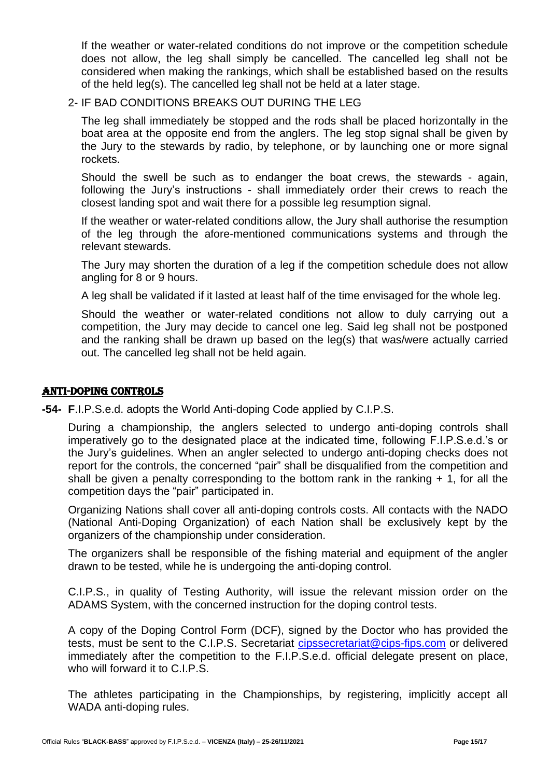If the weather or water-related conditions do not improve or the competition schedule does not allow, the leg shall simply be cancelled. The cancelled leg shall not be considered when making the rankings, which shall be established based on the results of the held leg(s). The cancelled leg shall not be held at a later stage.

# 2- IF BAD CONDITIONS BREAKS OUT DURING THE LEG

The leg shall immediately be stopped and the rods shall be placed horizontally in the boat area at the opposite end from the anglers. The leg stop signal shall be given by the Jury to the stewards by radio, by telephone, or by launching one or more signal rockets.

Should the swell be such as to endanger the boat crews, the stewards - again, following the Jury's instructions - shall immediately order their crews to reach the closest landing spot and wait there for a possible leg resumption signal.

If the weather or water-related conditions allow, the Jury shall authorise the resumption of the leg through the afore-mentioned communications systems and through the relevant stewards.

The Jury may shorten the duration of a leg if the competition schedule does not allow angling for 8 or 9 hours.

A leg shall be validated if it lasted at least half of the time envisaged for the whole leg.

Should the weather or water-related conditions not allow to duly carrying out a competition, the Jury may decide to cancel one leg. Said leg shall not be postponed and the ranking shall be drawn up based on the leg(s) that was/were actually carried out. The cancelled leg shall not be held again.

#### ANTI-DOPING CONTROLS

**-54- F**.I.P.S.e.d. adopts the World Anti-doping Code applied by C.I.P.S.

During a championship, the anglers selected to undergo anti-doping controls shall imperatively go to the designated place at the indicated time, following F.I.P.S.e.d.'s or the Jury's guidelines. When an angler selected to undergo anti-doping checks does not report for the controls, the concerned "pair" shall be disqualified from the competition and shall be given a penalty corresponding to the bottom rank in the ranking  $+1$ , for all the competition days the "pair" participated in.

Organizing Nations shall cover all anti-doping controls costs. All contacts with the NADO (National Anti-Doping Organization) of each Nation shall be exclusively kept by the organizers of the championship under consideration.

The organizers shall be responsible of the fishing material and equipment of the angler drawn to be tested, while he is undergoing the anti-doping control.

C.I.P.S., in quality of Testing Authority, will issue the relevant mission order on the ADAMS System, with the concerned instruction for the doping control tests.

A copy of the Doping Control Form (DCF), signed by the Doctor who has provided the tests, must be sent to the C.I.P.S. Secretariat [cipssecretariat@cips-fips.com](mailto:cipssecretariat@cips-fips.com) or delivered immediately after the competition to the F.I.P.S.e.d. official delegate present on place, who will forward it to C.I.P.S.

The athletes participating in the Championships, by registering, implicitly accept all WADA anti-doping rules.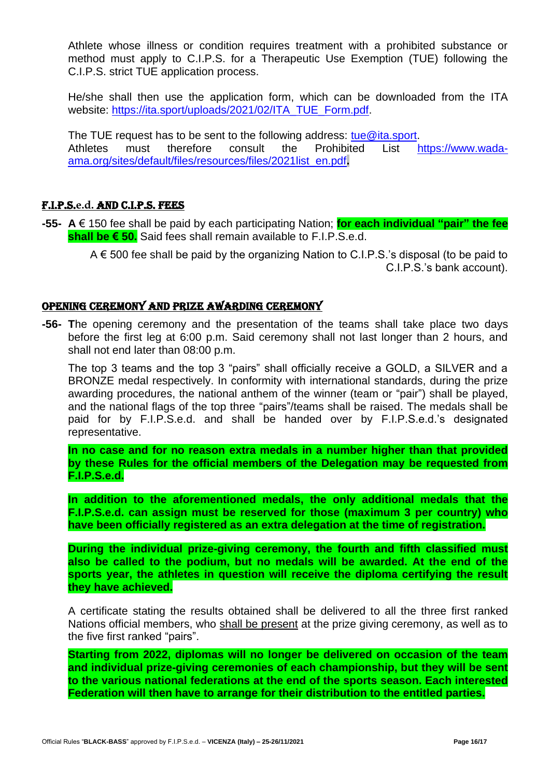Athlete whose illness or condition requires treatment with a prohibited substance or method must apply to C.I.P.S. for a Therapeutic Use Exemption (TUE) following the C.I.P.S. strict TUE application process.

He/she shall then use the application form, which can be downloaded from the ITA website: [https://ita.sport/uploads/2021/02/ITA\\_TUE\\_Form.pdf.](https://ita.sport/uploads/2021/02/ITA_TUE_Form.pdf)

The TUE request has to be sent to the following address: [tue@ita.sport.](mailto:tue@ita.sport) Athletes must therefore consult the Prohibited List [https://www.wada](https://www.wada-ama.org/sites/default/files/resources/files/2021list_en.pdf)[ama.org/sites/default/files/resources/files/2021list\\_en.pdf](https://www.wada-ama.org/sites/default/files/resources/files/2021list_en.pdf)**.**

#### F.I.P.S.**e.d.** AND C.I.P.S. FEES

**-55- A** € 150 fee shall be paid by each participating Nation; **for each individual "pair" the fee shall be € 50.** Said fees shall remain available to F.I.P.S.e.d.

A € 500 fee shall be paid by the organizing Nation to C.I.P.S.'s disposal (to be paid to C.I.P.S.'s bank account).

#### OPENING CEREMONY AND PRIZE AWARDING CEREMONY

**-56- T**he opening ceremony and the presentation of the teams shall take place two days before the first leg at 6:00 p.m. Said ceremony shall not last longer than 2 hours, and shall not end later than 08:00 p.m.

The top 3 teams and the top 3 "pairs" shall officially receive a GOLD, a SILVER and a BRONZE medal respectively. In conformity with international standards, during the prize awarding procedures, the national anthem of the winner (team or "pair") shall be played, and the national flags of the top three "pairs"/teams shall be raised. The medals shall be paid for by F.I.P.S.e.d. and shall be handed over by F.I.P.S.e.d.'s designated representative.

**In no case and for no reason extra medals in a number higher than that provided by these Rules for the official members of the Delegation may be requested from F.I.P.S.e.d.**

**In addition to the aforementioned medals, the only additional medals that the F.I.P.S.e.d. can assign must be reserved for those (maximum 3 per country) who have been officially registered as an extra delegation at the time of registration.**

**During the individual prize-giving ceremony, the fourth and fifth classified must also be called to the podium, but no medals will be awarded. At the end of the sports year, the athletes in question will receive the diploma certifying the result they have achieved.**

A certificate stating the results obtained shall be delivered to all the three first ranked Nations official members, who shall be present at the prize giving ceremony, as well as to the five first ranked "pairs".

**Starting from 2022, diplomas will no longer be delivered on occasion of the team and individual prize-giving ceremonies of each championship, but they will be sent to the various national federations at the end of the sports season. Each interested Federation will then have to arrange for their distribution to the entitled parties.**